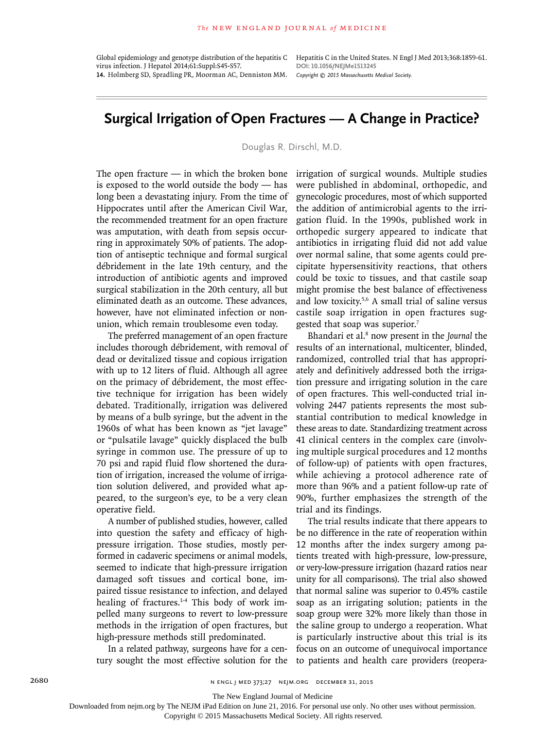virus infection. J Hepatol 2014;61:Suppl:S45-S57. **14.** Holmberg SD, Spradling PR, Moorman AC, Denniston MM.

Global epidemiology and genotype distribution of the hepatitis C Hepatitis C in the United States. N Engl J Med 2013;368:1859-61. **DOI: 10.1056/NEJMe1513245** *Copyright © 2015 Massachusetts Medical Society.*

## **Surgical Irrigation of Open Fractures — A Change in Practice?**

Douglas R. Dirschl, M.D.

The open fracture — in which the broken bone is exposed to the world outside the body — has long been a devastating injury. From the time of Hippocrates until after the American Civil War, the recommended treatment for an open fracture was amputation, with death from sepsis occurring in approximately 50% of patients. The adoption of antiseptic technique and formal surgical débridement in the late 19th century, and the introduction of antibiotic agents and improved surgical stabilization in the 20th century, all but eliminated death as an outcome. These advances, however, have not eliminated infection or nonunion, which remain troublesome even today.

The preferred management of an open fracture includes thorough débridement, with removal of dead or devitalized tissue and copious irrigation with up to 12 liters of fluid. Although all agree on the primacy of débridement, the most effective technique for irrigation has been widely debated. Traditionally, irrigation was delivered by means of a bulb syringe, but the advent in the 1960s of what has been known as "jet lavage" or "pulsatile lavage" quickly displaced the bulb syringe in common use. The pressure of up to 70 psi and rapid fluid flow shortened the duration of irrigation, increased the volume of irrigation solution delivered, and provided what appeared, to the surgeon's eye, to be a very clean operative field.

A number of published studies, however, called into question the safety and efficacy of highpressure irrigation. Those studies, mostly performed in cadaveric specimens or animal models, seemed to indicate that high-pressure irrigation damaged soft tissues and cortical bone, impaired tissue resistance to infection, and delayed healing of fractures.<sup>1-4</sup> This body of work impelled many surgeons to revert to low-pressure methods in the irrigation of open fractures, but high-pressure methods still predominated.

In a related pathway, surgeons have for a century sought the most effective solution for the irrigation of surgical wounds. Multiple studies were published in abdominal, orthopedic, and gynecologic procedures, most of which supported the addition of antimicrobial agents to the irrigation fluid. In the 1990s, published work in orthopedic surgery appeared to indicate that antibiotics in irrigating fluid did not add value over normal saline, that some agents could precipitate hypersensitivity reactions, that others could be toxic to tissues, and that castile soap might promise the best balance of effectiveness and low toxicity.5,6 A small trial of saline versus castile soap irrigation in open fractures suggested that soap was superior.<sup>7</sup>

Bhandari et al.8 now present in the *Journal* the results of an international, multicenter, blinded, randomized, controlled trial that has appropriately and definitively addressed both the irrigation pressure and irrigating solution in the care of open fractures. This well-conducted trial involving 2447 patients represents the most substantial contribution to medical knowledge in these areas to date. Standardizing treatment across 41 clinical centers in the complex care (involving multiple surgical procedures and 12 months of follow-up) of patients with open fractures, while achieving a protocol adherence rate of more than 96% and a patient follow-up rate of 90%, further emphasizes the strength of the trial and its findings.

The trial results indicate that there appears to be no difference in the rate of reoperation within 12 months after the index surgery among patients treated with high-pressure, low-pressure, or very-low-pressure irrigation (hazard ratios near unity for all comparisons). The trial also showed that normal saline was superior to 0.45% castile soap as an irrigating solution; patients in the soap group were 32% more likely than those in the saline group to undergo a reoperation. What is particularly instructive about this trial is its focus on an outcome of unequivocal importance to patients and health care providers (reopera-

The New England Journal of Medicine

Downloaded from nejm.org by The NEJM iPad Edition on June 21, 2016. For personal use only. No other uses without permission.

Copyright © 2015 Massachusetts Medical Society. All rights reserved.